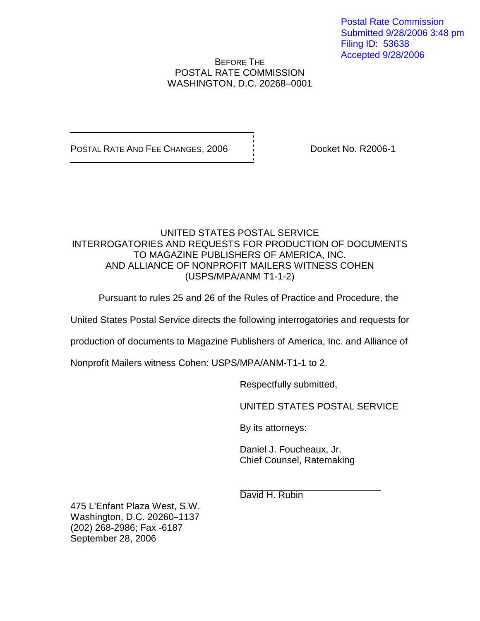Postal Rate Commission Submitted 9/28/2006 3:48 pm Filing ID: 53638 Accepted 9/28/2006

## BEFORE THE POSTAL RATE COMMISSION WASHINGTON, D.C. 20268–0001

POSTAL RATE AND FEE CHANGES, 2006  $\overrightarrow{a}$  Docket No. R2006-1

## UNITED STATES POSTAL SERVICE INTERROGATORIES AND REQUESTS FOR PRODUCTION OF DOCUMENTS TO MAGAZINE PUBLISHERS OF AMERICA, INC. AND ALLIANCE OF NONPROFIT MAILERS WITNESS COHEN (USPS/MPA/ANM T1-1-2)

Pursuant to rules 25 and 26 of the Rules of Practice and Procedure, the

United States Postal Service directs the following interrogatories and requests for

production of documents to Magazine Publishers of America, Inc. and Alliance of

Nonprofit Mailers witness Cohen: USPS/MPA/ANM-T1-1 to 2.

Respectfully submitted,

UNITED STATES POSTAL SERVICE

By its attorneys:

Daniel J. Foucheaux, Jr. Chief Counsel, Ratemaking

David H. Rubin

475 L'Enfant Plaza West, S.W. Washington, D.C. 20260-1137 (202) 268-2986; Fax -6187 September 28, 2006